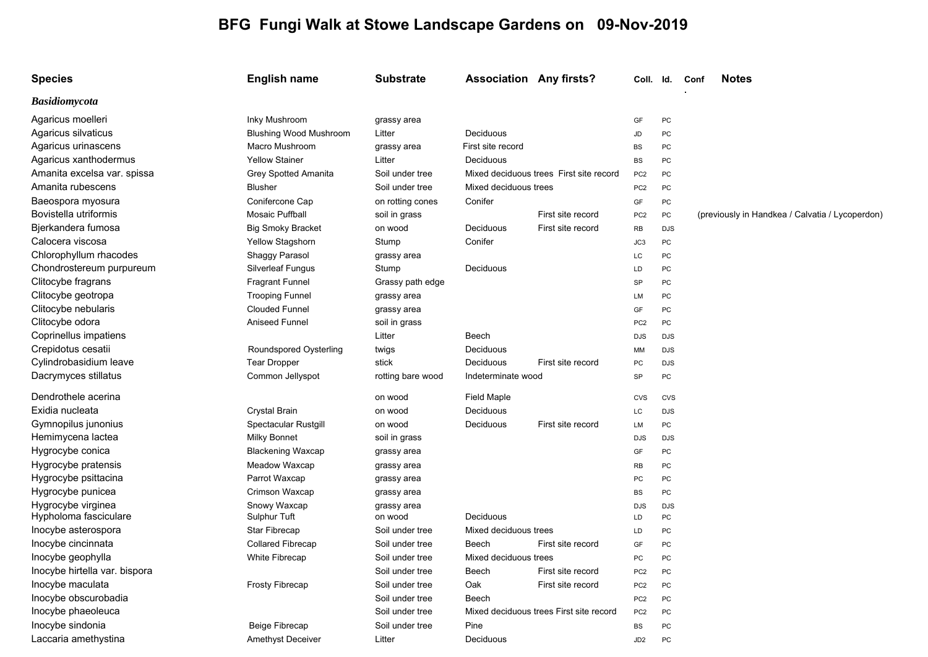## **BFG Fungi Walk at Stowe Landscape Gardens on 09-Nov-2019**

| <b>Species</b>                | <b>English name</b>           | <b>Substrate</b>  | <b>Association Any firsts?</b> |                                         | Coll. Id.       |            | Conf | <b>Notes</b>                                    |
|-------------------------------|-------------------------------|-------------------|--------------------------------|-----------------------------------------|-----------------|------------|------|-------------------------------------------------|
| <b>Basidiomycota</b>          |                               |                   |                                |                                         |                 |            |      |                                                 |
| Agaricus moelleri             | Inky Mushroom                 | grassy area       |                                |                                         | GF              | PC         |      |                                                 |
| Agaricus silvaticus           | <b>Blushing Wood Mushroom</b> | Litter            | Deciduous                      |                                         | JD              | PC         |      |                                                 |
| Agaricus urinascens           | Macro Mushroom                | grassy area       | First site record              |                                         | BS              | PC         |      |                                                 |
| Agaricus xanthodermus         | <b>Yellow Stainer</b>         | Litter            | Deciduous                      |                                         | <b>BS</b>       | PC         |      |                                                 |
| Amanita excelsa var. spissa   | Grey Spotted Amanita          | Soil under tree   |                                | Mixed deciduous trees First site record | PC <sub>2</sub> | PC         |      |                                                 |
| Amanita rubescens             | <b>Blusher</b>                | Soil under tree   | Mixed deciduous trees          |                                         | PC <sub>2</sub> | PC         |      |                                                 |
| Baeospora myosura             | Conifercone Cap               | on rotting cones  | Conifer                        |                                         | GF              | PC         |      |                                                 |
| Bovistella utriformis         | <b>Mosaic Puffball</b>        | soil in grass     |                                | First site record                       | PC <sub>2</sub> | PC         |      | (previously in Handkea / Calvatia / Lycoperdon) |
| Bjerkandera fumosa            | <b>Big Smoky Bracket</b>      | on wood           | Deciduous                      | First site record                       | <b>RB</b>       | <b>DJS</b> |      |                                                 |
| Calocera viscosa              | Yellow Stagshorn              | Stump             | Conifer                        |                                         | JC <sub>3</sub> | PC         |      |                                                 |
| Chlorophyllum rhacodes        | Shaggy Parasol                | grassy area       |                                |                                         | LC              | PC         |      |                                                 |
| Chondrostereum purpureum      | <b>Silverleaf Fungus</b>      | Stump             | Deciduous                      |                                         | LD              | PC         |      |                                                 |
| Clitocybe fragrans            | <b>Fragrant Funnel</b>        | Grassy path edge  |                                |                                         | SP              | PC         |      |                                                 |
| Clitocybe geotropa            | <b>Trooping Funnel</b>        | grassy area       |                                |                                         | LM              | PC         |      |                                                 |
| Clitocybe nebularis           | <b>Clouded Funnel</b>         | grassy area       |                                |                                         | GF              | PC         |      |                                                 |
| Clitocybe odora               | Aniseed Funnel                | soil in grass     |                                |                                         | PC <sub>2</sub> | PC         |      |                                                 |
| Coprinellus impatiens         |                               | Litter            | Beech                          |                                         | <b>DJS</b>      | <b>DJS</b> |      |                                                 |
| Crepidotus cesatii            | Roundspored Oysterling        | twigs             | Deciduous                      |                                         | MM              | <b>DJS</b> |      |                                                 |
| Cylindrobasidium leave        | <b>Tear Dropper</b>           | stick             | Deciduous                      | First site record                       | PC              | <b>DJS</b> |      |                                                 |
| Dacrymyces stillatus          | Common Jellyspot              | rotting bare wood | Indeterminate wood             |                                         | SP              | PC         |      |                                                 |
| Dendrothele acerina           |                               | on wood           | <b>Field Maple</b>             |                                         | CVS             | <b>CVS</b> |      |                                                 |
| Exidia nucleata               | <b>Crystal Brain</b>          | on wood           | Deciduous                      |                                         | LC              | <b>DJS</b> |      |                                                 |
| Gymnopilus junonius           | Spectacular Rustgill          | on wood           | Deciduous                      | First site record                       | LM              | PC         |      |                                                 |
| Hemimycena lactea             | <b>Milky Bonnet</b>           | soil in grass     |                                |                                         | <b>DJS</b>      | <b>DJS</b> |      |                                                 |
| Hygrocybe conica              | <b>Blackening Waxcap</b>      | grassy area       |                                |                                         | GF              | PC         |      |                                                 |
| Hygrocybe pratensis           | Meadow Waxcap                 | grassy area       |                                |                                         | RB              | PC         |      |                                                 |
| Hygrocybe psittacina          | Parrot Waxcap                 | grassy area       |                                |                                         | PC              | PC         |      |                                                 |
| Hygrocybe punicea             | Crimson Waxcap                | grassy area       |                                |                                         | BS              | PC         |      |                                                 |
| Hygrocybe virginea            | Snowy Waxcap                  | grassy area       |                                |                                         | <b>DJS</b>      | <b>DJS</b> |      |                                                 |
| Hypholoma fasciculare         | Sulphur Tuft                  | on wood           | Deciduous                      |                                         | LD              | PC         |      |                                                 |
| Inocybe asterospora           | Star Fibrecap                 | Soil under tree   | Mixed deciduous trees          |                                         | LD              | PC         |      |                                                 |
| Inocybe cincinnata            | <b>Collared Fibrecap</b>      | Soil under tree   | Beech                          | First site record                       | GF              | PC         |      |                                                 |
| Inocybe geophylla             | <b>White Fibrecap</b>         | Soil under tree   | Mixed deciduous trees          |                                         | PC              | <b>PC</b>  |      |                                                 |
| Inocybe hirtella var. bispora |                               | Soil under tree   | Beech                          | First site record                       | PC <sub>2</sub> | PC         |      |                                                 |
| Inocybe maculata              | Frosty Fibrecap               | Soil under tree   | Oak                            | First site record                       | PC <sub>2</sub> | PC         |      |                                                 |
| Inocybe obscurobadia          |                               | Soil under tree   | Beech                          |                                         | PC <sub>2</sub> | PC         |      |                                                 |
| Inocybe phaeoleuca            |                               | Soil under tree   |                                | Mixed deciduous trees First site record | PC <sub>2</sub> | PC         |      |                                                 |
| Inocybe sindonia              | Beige Fibrecap                | Soil under tree   | Pine                           |                                         | BS              | PC         |      |                                                 |
| Laccaria amethystina          | Amethyst Deceiver             | Litter            | Deciduous                      |                                         | JD2             | PC         |      |                                                 |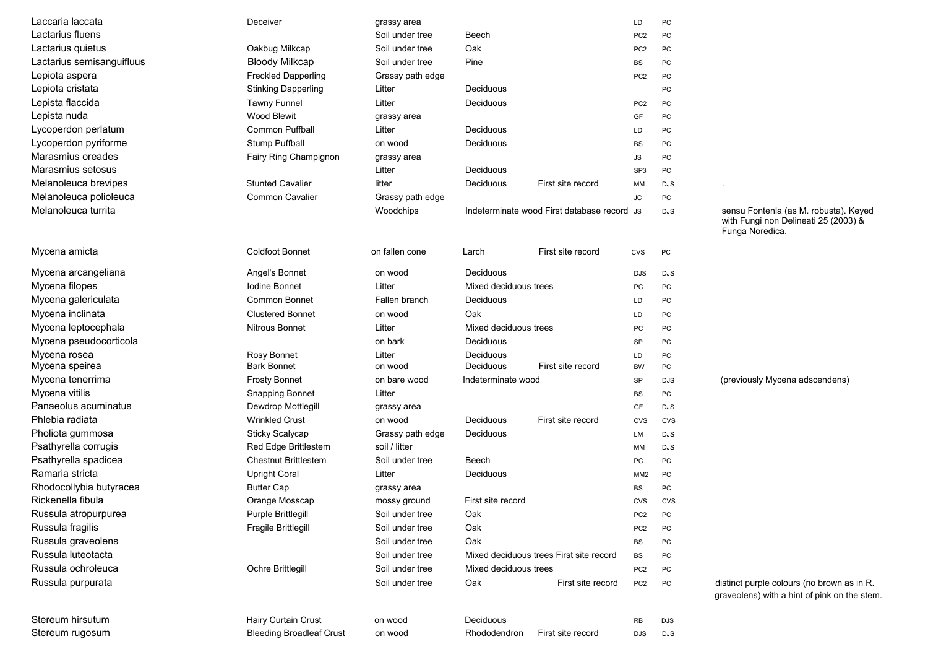| Laccaria laccata          | Deceiver                        | grassy area      |                                             |                                         | LD              | PC         |                                                                                                  |
|---------------------------|---------------------------------|------------------|---------------------------------------------|-----------------------------------------|-----------------|------------|--------------------------------------------------------------------------------------------------|
| Lactarius fluens          |                                 | Soil under tree  | Beech                                       |                                         | PC <sub>2</sub> | PC         |                                                                                                  |
| Lactarius quietus         | Oakbug Milkcap                  | Soil under tree  | Oak                                         |                                         | PC <sub>2</sub> | PC         |                                                                                                  |
| Lactarius semisanguifluus | <b>Bloody Milkcap</b>           | Soil under tree  | Pine                                        |                                         | <b>BS</b>       | PC         |                                                                                                  |
| Lepiota aspera            | <b>Freckled Dapperling</b>      | Grassy path edge |                                             |                                         | PC <sub>2</sub> | PC         |                                                                                                  |
| Lepiota cristata          | <b>Stinking Dapperling</b>      | Litter           | <b>Deciduous</b>                            |                                         |                 | PC         |                                                                                                  |
| Lepista flaccida          | <b>Tawny Funnel</b>             | Litter           | Deciduous                                   |                                         | PC <sub>2</sub> | PC         |                                                                                                  |
| Lepista nuda              | Wood Blewit                     | grassy area      |                                             |                                         | GF              | PC         |                                                                                                  |
| Lycoperdon perlatum       | <b>Common Puffball</b>          | Litter           | Deciduous                                   |                                         | LD              | PC         |                                                                                                  |
| Lycoperdon pyriforme      | Stump Puffball                  | on wood          | Deciduous                                   |                                         | BS              | PC         |                                                                                                  |
| Marasmius oreades         | Fairy Ring Champignon           | grassy area      |                                             |                                         | JS              | PC         |                                                                                                  |
| Marasmius setosus         |                                 | Litter           | Deciduous                                   |                                         | SP <sub>3</sub> | PC         |                                                                                                  |
| Melanoleuca brevipes      | <b>Stunted Cavalier</b>         | litter           | Deciduous                                   | First site record                       | MM              | <b>DJS</b> |                                                                                                  |
| Melanoleuca polioleuca    | Common Cavalier                 | Grassy path edge |                                             |                                         | <b>JC</b>       | PC         |                                                                                                  |
| Melanoleuca turrita       |                                 | Woodchips        | Indeterminate wood First database record JS |                                         |                 | <b>DJS</b> | sensu Fontenla (as M. robusta). Keyed<br>with Fungi non Delineati 25 (2003) &<br>Funga Noredica. |
| Mycena amicta             | <b>Coldfoot Bonnet</b>          | on fallen cone   | Larch                                       | First site record                       | CVS             | PC         |                                                                                                  |
| Mycena arcangeliana       | Angel's Bonnet                  | on wood          | Deciduous                                   |                                         | <b>DJS</b>      | <b>DJS</b> |                                                                                                  |
| Mycena filopes            | Iodine Bonnet                   | Litter           | Mixed deciduous trees                       |                                         | PC              | PC         |                                                                                                  |
| Mycena galericulata       | <b>Common Bonnet</b>            | Fallen branch    | Deciduous                                   |                                         | LD              | PC         |                                                                                                  |
| Mycena inclinata          | <b>Clustered Bonnet</b>         | on wood          | Oak                                         |                                         | LD              | PC         |                                                                                                  |
| Mycena leptocephala       | <b>Nitrous Bonnet</b>           | Litter           | Mixed deciduous trees                       |                                         | PC              | PC         |                                                                                                  |
| Mycena pseudocorticola    |                                 | on bark          | Deciduous                                   |                                         | SP              | PC         |                                                                                                  |
| Mycena rosea              | Rosy Bonnet                     | Litter           | Deciduous                                   |                                         | LD              | PC         |                                                                                                  |
| Mycena speirea            | <b>Bark Bonnet</b>              | on wood          | Deciduous                                   | First site record                       | <b>BW</b>       | PC         |                                                                                                  |
| Mycena tenerrima          | <b>Frosty Bonnet</b>            | on bare wood     | Indeterminate wood                          |                                         | SP              | <b>DJS</b> | (previously Mycena adscendens)                                                                   |
| Mycena vitilis            | <b>Snapping Bonnet</b>          | Litter           |                                             |                                         | BS              | PC         |                                                                                                  |
| Panaeolus acuminatus      | Dewdrop Mottlegill              | grassy area      |                                             |                                         | GF              | <b>DJS</b> |                                                                                                  |
| Phlebia radiata           | <b>Wrinkled Crust</b>           | on wood          | Deciduous                                   | First site record                       | <b>CVS</b>      | <b>CVS</b> |                                                                                                  |
| Pholiota gummosa          | Sticky Scalycap                 | Grassy path edge | Deciduous                                   |                                         | LM              | <b>DJS</b> |                                                                                                  |
| Psathyrella corrugis      | Red Edge Brittlestem            | soil / litter    |                                             |                                         | MM              | <b>DJS</b> |                                                                                                  |
| Psathyrella spadicea      | <b>Chestnut Brittlestem</b>     | Soil under tree  | Beech                                       |                                         | PC              | PC         |                                                                                                  |
| Ramaria stricta           | <b>Upright Coral</b>            | Litter           | Deciduous                                   |                                         | MM2             | PC         |                                                                                                  |
| Rhodocollybia butyracea   | <b>Butter Cap</b>               | grassy area      |                                             |                                         | BS              | PC         |                                                                                                  |
| Rickenella fibula         | Orange Mosscap                  | mossy ground     | First site record                           |                                         | CVS             | <b>CVS</b> |                                                                                                  |
| Russula atropurpurea      | Purple Brittlegill              | Soil under tree  | Oak                                         |                                         | PC <sub>2</sub> | PC         |                                                                                                  |
| Russula fragilis          | Fragile Brittlegill             | Soil under tree  | Oak                                         |                                         | PC <sub>2</sub> | PC         |                                                                                                  |
| Russula graveolens        |                                 | Soil under tree  | Oak                                         |                                         | <b>BS</b>       | PC         |                                                                                                  |
| Russula luteotacta        |                                 | Soil under tree  |                                             | Mixed deciduous trees First site record | <b>BS</b>       | PC         |                                                                                                  |
| Russula ochroleuca        | Ochre Brittlegill               | Soil under tree  | Mixed deciduous trees                       |                                         | PC <sub>2</sub> | PC         |                                                                                                  |
| Russula purpurata         |                                 | Soil under tree  | Oak                                         | First site record                       | PC <sub>2</sub> | PC         | distinct purple colours (no brown as in R.<br>graveolens) with a hint of pink on the sten        |
| Stereum hirsutum          | Hairy Curtain Crust             | on wood          | Deciduous                                   |                                         | RB              | DJS        |                                                                                                  |
| Stereum rugosum           | <b>Bleeding Broadleaf Crust</b> | on wood          | Rhododendron                                | First site record                       | DJS             | DJS        |                                                                                                  |

## with Fungi non Delineati 25 (2003) & Funga Noredica.